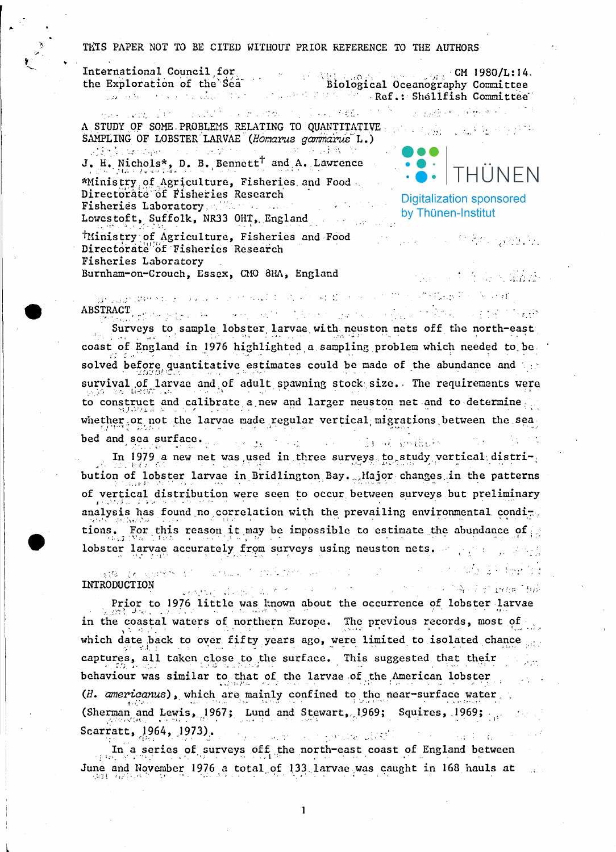## THIS PAPER NOT TO BE CITED WITHOUT PRIOR REFERENCE TO THE AUTHORS

International Council for  $CM$  1980/L:14. International Council tor<br>the Exploration of the Sea biological Oceanography Committee and seven the condition of the second formulation of Ref.: Shellfish Committee man complete consistence momental in language of N a material (1949) alla A STUDY OF SOME PROBLEMS RELATING TO QUANTITATIVE AND SUBJECT OF STATE AND RELATIONS SAMPLING OF LOBSTER LARVAE (Homarus gammarus L.) 的复数复合地 化氯胺 人名英贝克 医皮肤性 化三甲基二甲基苯 医心腹 我们就会 J. H. Nichols\*, D. B. Bennett<sup>†</sup> and A. Lawrence **THUNFN** \*Ministry of Agriculture, Fisheries and Food. Directorate of Fisheries Research **Digitalization sponsored** Fisheries Laboratory, with the search by Thünen-Institut Lowestoft, Suffolk, NR33 OHT, England TMinistry of Agriculture, Fisheries and Food 经未经 强劲的 Directorate of Fisheries Research Fisheries Laboratory Burnham-on-Crouch, Essex, CMO 8HA, England  $\mathcal{L} = \{ \mathcal{L} \}$  , where  $\mathcal{L} = \{ \mathcal{L} \}$ the summer

is the second state of the contraction of the second contract of the second contract of  $\mathcal{A}$  . In the contract of  $\mathcal{A}$ 

ABSTRACT And the second with the second second species of the second second second second second second second Surveys to sample lobster larvae with neuston nets off the north-east coast of England in 1976 highlighted a sampling problem which needed to be solved before quantitative estimates could be made of the abundance and the survival of larvae and of adult spawning stock size. The requirements were to construct and calibrate a new and larger neuston net and to determine whether or not the larvae made regular vertical migrations between the seabed and sea surface. The or holders. a station

In 1979 a new net was used in three surveys to study vertical distribution of lobster larvae in Bridlington Bay. Major changes in the patterns of vertical distribution were seen to occur between surveys but preliminary analysis has found no correlation with the prevailing environmental conditions. For this reason it may be impossible to estimate the abundance of lobster larvae accurately from surveys using neuston nets. The property

ા ગામમાં આવેલું છે. આ ગામમાં પ્રાથમિક શાળા

Service State Control of Army Andrews Children

ata de shorr's short value. I mak men de son h INTRODUCTION

 $\frac{1}{2}\left\{ \left( \frac{1}{2} \sum_{i=1}^{n} \sum_{j=1}^{n} \sum_{j=1}^{n} \sum_{j=1}^{n} \sum_{j=1}^{n} \sum_{j=1}^{n} \sum_{j=1}^{n} \sum_{j=1}^{n} \sum_{j=1}^{n} \sum_{j=1}^{n} \sum_{j=1}^{n} \sum_{j=1}^{n} \sum_{j=1}^{n} \sum_{j=1}^{n} \sum_{j=1}^{n} \sum_{j=1}^{n} \sum_{j=1}^{n} \sum_{j=1}^{n} \sum_{j=1}^{n} \sum_{j=1}^{n}$ Prior to 1976 little was known about the occurrence of lobster larvae in the coastal waters of northern Europe. The previous records, most of which date back to over fifty years ago, were limited to isolated chance captures, all taken close to the surface. This suggested that their behaviour was similar to that of the larvae of the American lobster (H. americanus), which are mainly confined to the near-surface water (Sherman and Lewis, 1967; Lund and Stewart, 1969; Squires, 1969; Allen Scarratt, 1964, 1973).  $\mathcal{O}(\mathcal{O}(\log n))$ The company of the second second states Against the process of the

In a series of surveys off the north-east coast of England between June and November 1976 a total of 133 larvae was caught in 168 hauls at

 $\mathbf{I}$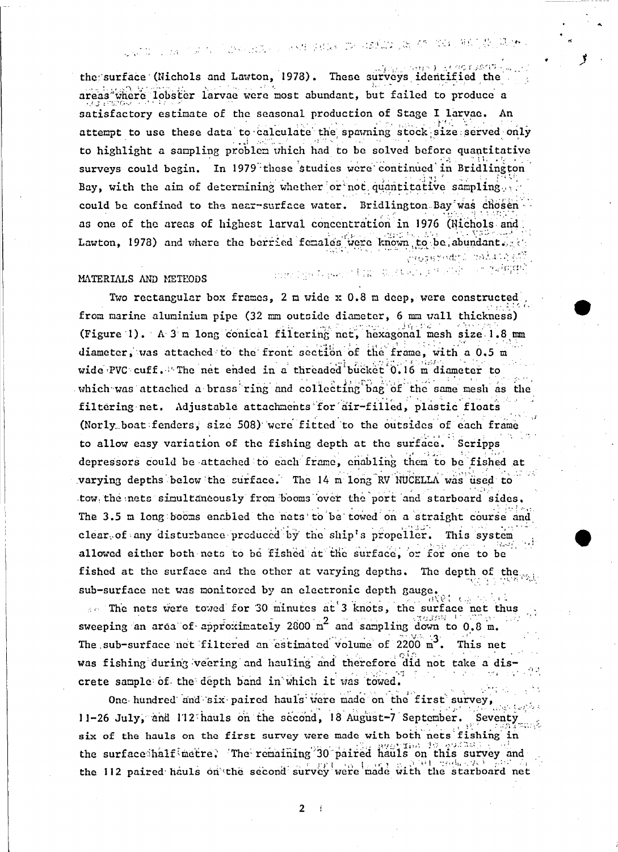## 1. 18 个国内、国内和北部公司 不健康的医生的 100的以前的一个 200万的工作、其他人

the surface (Nichols and Lawton, 1978). These surveys identified the areas where lobster larvae were most abundant, but failed to produce a satisfactory estimate of the seasonal production of Stage I larvae. An attempt to use these data to calculate the spawning stock size served only to highlight a sampling problem which had to be solved before quantitative surveys could begin. In 1979 these studies were continued in Bridlington Bay, with the aim of determining whether or not quantitative sampling could be confined to the near-surface water. Bridlington Bay was chosen as one of the areas of highest larval concentration in 1976 (Nichols and Lawton, 1978) and where the berried females were known to be abundant. odri rolinie

## MATERIALS AND METHODS

## and the Lawrent Charles Check of the Cole

្ម ក្នុងក្រោយបំ

Two rectangular box frames, 2 m wide x 0.8 m deep, were constructed from marine aluminium pipe (32 mm outside diameter, 6 mm wall thickness) (Figure 1). A 3 m long conical filtering net, hexagonal mesh size 1.8 mm diameter, was attached to the front section of the frame, with a 0.5 m wide PVC cuff. The net ended in a threaded bucket 0.16 m diameter to which was attached a brass ring and collecting bag of the same mesh as the filtering net. Adjustable attachments for dir-filled, plastic floats (Norly boat fenders, size 508) were fitted to the outsides of each frame to allow easy variation of the fishing depth at the surface. Scripps depressors could be attached to each frame, enabling them to be fished at varying depths below the surface. The 14 m long RV NUCELLA was used to tow the nets simultaneously from booms over the port and starboard sides. The 3.5 m long booms enabled the nets to be towed on a straight course and clear of any disturbance produced by the ship's propeller. This system allowed either both nets to be fished at the surface, or for one to be fished at the surface and the other at varying depths. The depth of the sub-surface net was monitored by an electronic depth gauge.

ં ડિ so The nets were toved for 30 minutes at 3 knots, the surface net thus sweeping an area of approximately 2800  $m^2$  and sampling down to 0.8 m. The sub-surface net filtered an estimated volume of 2200 m<sup>3</sup>. This net was fishing during veering and hauling and therefore did not take a discrete sample of the depth band in which it was towed.

One hundred and six paired hauls were made on the first survey, 11-26 July, and 112 hauls on the second, 18 August-7 September. Seventy six of the hauls on the first survey were made with both nets fishing in the surface half metre. The remaining 30 paired hauls on this survey and the 112 paired hauls on the second survey were made with the starboard net

> $2<sup>1</sup>$  $\rightarrow$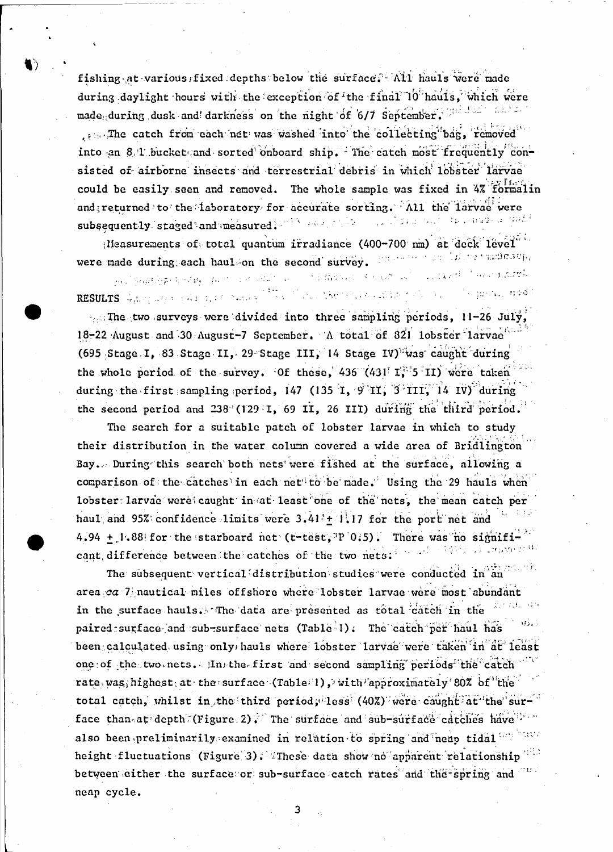fishing at various fixed depths below the surface. All hauls were made during daylight hours with the exception of the final 10 hauls, which were made during dusk and darkness on the night of 6/7 september. The deal , also The catch from cach net was washed into the collecting bag, removed into an 8.4 bucket and sorted onboard ship. The catch most frequently consisted of airborne insects and terrestrial debris in which lobster larvae could be easily seen and removed. The whole sample was fixed in 4% formalin and returned to the laboratory for accurate sorting. All the larvae were subsequently staged and measured. This are grade and state but the cause a quick

Measurements of total quantum irradiance (400-700 nm) at deck level um (alingrimmadasty) were made during each haul on the second survey.

Linked Convertitutely  $\label{eq:3} \gamma_{\text{eff}}\left(\frac{1}{\Omega}\left(\frac{1}{2}\right)\right) \left(\frac{1}{2}\right) = \left(\frac{1}{2}+\left(\frac{1}{2}\right)\right)^2 - \left(\frac{1}{2}\right)^2$ ALL STRAIGHTS ROLLING AND COMMUNICATION RESULTS Apply and this depth noise of the March theoretical problem ಿ <u>ಚಾನಾ ಗುರೆ</u>

The two surveys were divided into three sampling periods, 11-26 July, 18-22 August and 30 August-7 September. A total of 821 lobster larvac (695 Stage I, 83 Stage II, 29 Stage III, 14 Stage IV) was caught during the whole period of the survey. Of these, 436 (431 I, 5 II) were taken during the first sampling period, 147 (135 I, 9 II, 3 III, 14 IV) during the second period and 238 (129 I, 69 II, 26 III) during the third period.

The search for a suitable patch of lobster larvae in which to study their distribution in the water column covered a wide area of Bridlington Bay. During this search both nets were fished at the surface, allowing a comparison of the catches in each net to be made. Using the 29 hauls when lobster larvae were caught in at least one of the nets, the mean catch per haul and 95% confidence limits were  $3.41 + 1.17$  for the port net and 4.94 + 1.88 for the starboard net (t-test, P 0.5). There was no significant difference between the catches of the two nets: we are the state of the

The subsequent vertical distribution studies were conducted in an  $\frac{1}{2}$ area ca 7 nautical miles offshore where lobster larvae were most abundant in the surface hauls. The data are presented as total catch in the paired surface and sub-surface nets (Table 1). The catch per haul has been calculated using only hauls where lobster larvae were taken in at least one of the two nets. In the first and second sampling periods the catch rate was highest at the surface (Table 1), with approximately 80% of the total catch, whilst in the third period, less (40%) were caught at the surface than at depth (Figure 2). The surface and sub-surface catches have in also been preliminarily examined in relation to spring and neap tidal we have height fluctuations (Figure 3). These data show no apparent relationship between either the surface or sub-surface catch rates and the spring and neap cycle.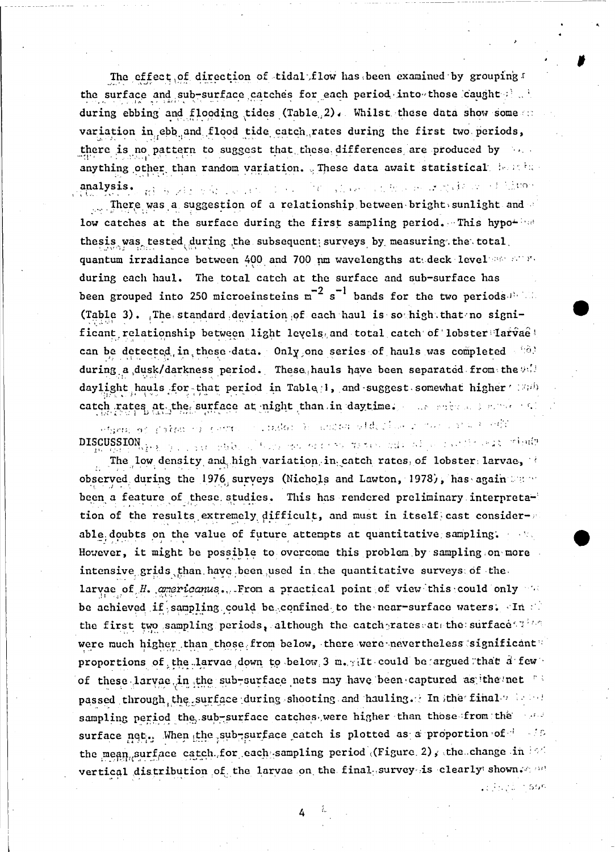The effect of direction of tidal flow has been examined by grouping the surface and sub-surface catches for each period into those caught also during ebbing and flooding tides (Table 2). Whilst these data show some variation in ebb and flood tide catch rates during the first two periods, there is no pattern to suggest that these differences are produced by anything other than random variation. These data await statistical beauties The Common the Common of the County of States analysis. **A primary for the second to**  $\mathcal{L}^{\text{max}}$ 

. There was a suggestion of a relationship between bright sunlight and low catches at the surface during the first sampling period. This hypothesis was tested during the subsequent surveys by measuring the total quantum irradiance between 400 and 700 nm wavelengths at deck level and all during each haul. The total catch at the surface and sub-surface has been grouped into 250 microeinsteins  $m^{-2} s^{-1}$  bands for the two periods. (Table 3). The standard deviation of each haul is so high that no significant relationship between light levels and total catch of lobster larvae! can be detected in these data. Only one series of hauls was completed that during a dusk/darkness period. These hauls have been separated from the 90 daylight hauls for that period in Table 1, and suggest somewhat higher (200) catch rates at the surface at night than in daytime. The series and selling

in critical to another although an interest of the second of etana os polon en centro 

The low density and high variation in catch rates of lobster larvae, observed during the 1976 surveys (Nichols and Lawton, 1978), has again where been a feature of these studies. This has rendered preliminary interpretation of the results extremely difficult, and must in itself cast considerable doubts on the value of future attempts at quantitative sampling. However, it might be possible to overcome this problem by sampling on more intensive grids than have been used in the quantitative surveys of the larvae of H. americanus. From a practical point of view this could only be achieved if sampling could be confined to the near-surface waters. In the the first two sampling periods, although the catch rates at the surface and the were much higher than those from below, there were nevertheless significant proportions of the larvae down to below 3 m. It could be argued that a few of these larvae in the sub-surface nets may have been captured as the net passed through the surface during shooting and hauling. In the final with the sampling period the sub-surface catches were higher than those from the season surface net. When the sub-surface catch is plotted as a proportion of less the mean surface catch for each sampling period (Figure 2), the change in 160 vertical distribution of the larvae on the final survey is clearly shown and

Le Francia in Son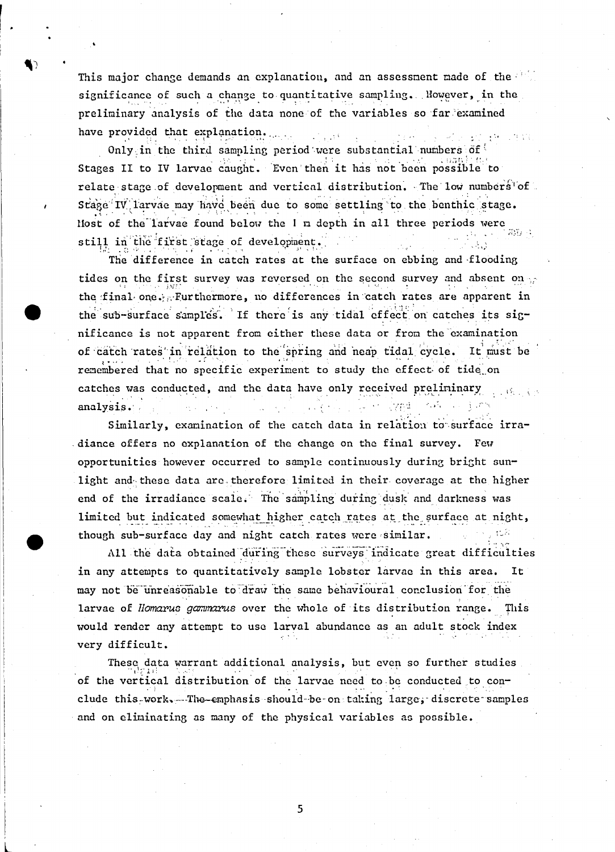This major change demands an explanation, and an assessment made of the significance of such a change to quantitative sampling. Nowever, in the preliminary analysis of the data none of the variables so far examined have provided that explanation.  $\mathbb{R}^n \times \mathbb{R}^n$ 

Only in the third sampling period were substantial numbers of Stages II to IV larvae caught. Even then it has not been possible to relate stage of development and vertical distribution. The low numbers of Stage IV larvae may have been due to some settling to the benthic stage. Most of the larvae found below the I m depth in all three periods were ភក្កោ still in the first stage of development.

The difference in catch rates at the surface on ebbing and flooding tides on the first survey was reversed on the second survey and absent on  $\gamma$ the final one. Furthermore, no differences in catch rates are apparent in the sub-surface samples. If there is any tidal effect on catches its significance is not apparent from either these data or from the examination of catch rates in relation to the spring and neap tidal cycle. It must be remembered that no specific experiment to study the effect of tide on catches was conducted, and the data have only received preliminary analysis.

Similarly, examination of the catch data in relation to surface irradiance offers no explanation of the change on the final survey. Few opportunities however occurred to sample continuously during bright sunlight and these data are therefore limited in their coverage at the higher end of the irradiance scale. The sampling during dusk and darkness was limited but indicated somewhat higher catch rates at the surface at night, though sub-surface day and night catch rates were similar.

All the data obtained during these surveys indicate great difficulties in any attempts to quantitatively sample lobster larvae in this area. It may not be unreasonable to draw the same behavioural conclusion for the larvae of *Homarus gammarus* over the whole of its distribution range. This would render any attempt to use larval abundance as an adult stock index very difficult.

These data warrant additional analysis, but even so further studies of the vertical distribution of the larvae need to be conducted to conclude this work. The emphasis should be on taking large, discrete samples and on eliminating as many of the physical variables as possible.

5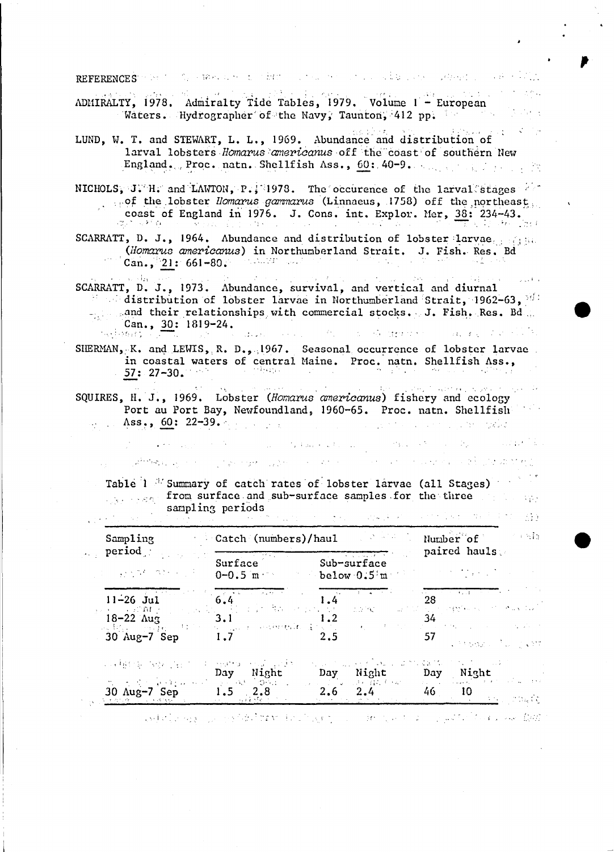REFERENCES POST ON STREET OF THE TERM CONTROL TO THE STREET OF STREET PROPERTY OF HER PROPERTY

ADMIRALTY, 1978. Admiralty Tide Tables, 1979. Volume 1 - European Waters. Hydrographer of the Navy, Taunton, 412 pp.

LUND, W. T. and STEWART, L. L., 1969. Abundance and distribution of larval lobsters Homarus americanus off the coast of southern New England. Proc. natn. Shellfish Ass., 60: 40-9. And the fact the state

NICHOLS, J. H. and LAWTON, P., 1978. The occurence of the larval stages are of the lobster *Homarus gammarus* (Linnaeus, 1758) off the northeast coast of England in 1976. J. Cons. int. Explor. Mer, 38: 234-43. दाल पश्चि  $\mathcal{L} \in \mathbb{R}^n \times \mathbb{R}$  ,  $\mathcal{L} \in \mathbb{R}^n$ 

SCARRATT, D. J., 1964. Abundance and distribution of lobster larvae. (Homarus americanus) in Northumberland Strait. J. Fish. Res. Bd Can., 21:  $661-80$ . a da Maria da S

 $\sim$   $M_{\rm B}$ SCARRATT, D. J., 1973. Abundance, survival, and vertical and diurnal distribution of lobster larvae in Northumberland Strait, 1962-63, 161 -gand their relationships with commercial stocks. J. Fish. Res. Bd. Can.,  $30: 1819-24$ .  $\{z_{\alpha}, \{z_{M}\}_{M} \}$  . and shorter and and the state of the control of the  $\sim 240$  $\mathcal{A}_1$  ,  $\mathcal{A}_2$ **Contractor** 

SHERMAN, K. and LEWIS, R. D., 1967. Seasonal occurrence of lobster larvae in coastal waters of central Maine. Proc. natn. Shellfish Ass., desagaa.  $57:27-30.$ 

they it causes as SQUIRES, H. J., 1969. Lobster (Homarus americanus) fishery and ecology Port au Port Bay, Newfoundland, 1960-65. Proc. natn. Shellfish Ass.,  $60: 22-39.$  $\mathcal{L}_{\mathcal{F}}$  ,  $\mathcal{L}_{\mathcal{F}}$ saya tarihin kacamatan da wasan

 $\mathcal{L}(\mathcal{A})$ 

 $\mathcal{L}(\mathcal{A},\mathcal{A})$  , and  $\mathcal{L}(\mathcal{A},\mathcal{A})$  , and  $\mathcal{L}(\mathcal{A},\mathcal{A})$ 

Address of the company of the company of the company of the company of the company of the company of the company of the company of the company of the company of the company of the company of the company of the company of t

 $\label{eq:1} \mathcal{L}_{\text{max}} = \mathcal{L}_{\text{F}} \left( \text{diag}(\mathbf{r}, \mathbf{r}) \right) \mathcal{L}_{\text{F}} \left( \mathbf{r}, \mathbf{r} \right)$ **Service Administration** 

Table 1 <sup>37</sup> Summary of catch rates of lobster larvae (all Stages) strategies from surface and sub-surface samples for the three the sample sampling periods  $\label{eq:1} \mathcal{L}^{\mathcal{A}}(\mathcal{A}^{\mathcal{A}}(\mathcal{A}^{\mathcal{A}}(\mathcal{A}^{\mathcal{A}}(\mathcal{A}^{\mathcal{A}})))\otimes\mathcal{L}^{\mathcal{A}}(\mathcal{A}^{\mathcal{A}}(\mathcal{A}^{\mathcal{A}}(\mathcal{A}^{\mathcal{A}}(\mathcal{A}^{\mathcal{A}}(\mathcal{A}^{\mathcal{A}})))\otimes\mathcal{L}^{\mathcal{A}}(\mathcal{A}^{\mathcal{A}}(\mathcal{A}^{\mathcal{A}}(\mathcal{A}^{\mathcal{A}}(\mathcal{A}^{\mathcal$  $\Delta \sim 10^{-10}$ 

| $\texttt{Sampling}$<br>$\ldots$ period |           | <b>Catch (numbers)/haul</b> and the contract of the contract of the contract of the contract of the contract of the contract of the contract of the contract of the contract of the contract of the contract of the contract of the |                                                                                                                |  |  |
|----------------------------------------|-----------|-------------------------------------------------------------------------------------------------------------------------------------------------------------------------------------------------------------------------------------|----------------------------------------------------------------------------------------------------------------|--|--|
|                                        |           | Surface Sub-surface                                                                                                                                                                                                                 | paired hauls.                                                                                                  |  |  |
|                                        |           |                                                                                                                                                                                                                                     | 11-26 Jul 6.4 1.4 28 1.9 1.4 28                                                                                |  |  |
|                                        |           |                                                                                                                                                                                                                                     | $34$<br>30 Aug-7 Sep 1.7 and $1.2$<br>30 Aug-7 Sep 1.7 $34$<br>in a strengen i frammen for                     |  |  |
|                                        | Day Night |                                                                                                                                                                                                                                     | 104 명원을 1936년 EEC 11 1 1999 에 관한 실력이 1000 PC AL 23 1 (ACC 401) 44 14 10 PC 1000 PC 1000<br>Day Night Day Night |  |  |
| $30 \text{ Aug-7 Sep}$ $1.5$ $2.8$     |           | <u>in Alexandria (</u> 1980)                                                                                                                                                                                                        | 30 Aug 7 Sep 1.5 2.8 2.6 2.4 46 10<br>్ర కోసం కారు. జయవర్గ                                                     |  |  |

and of the same completed of the Monter of the complete of the complete of the complete of  $\Omega$ 

 $\mathcal{L}=\{1,2,3,4,5,6\}$ 

The community of the many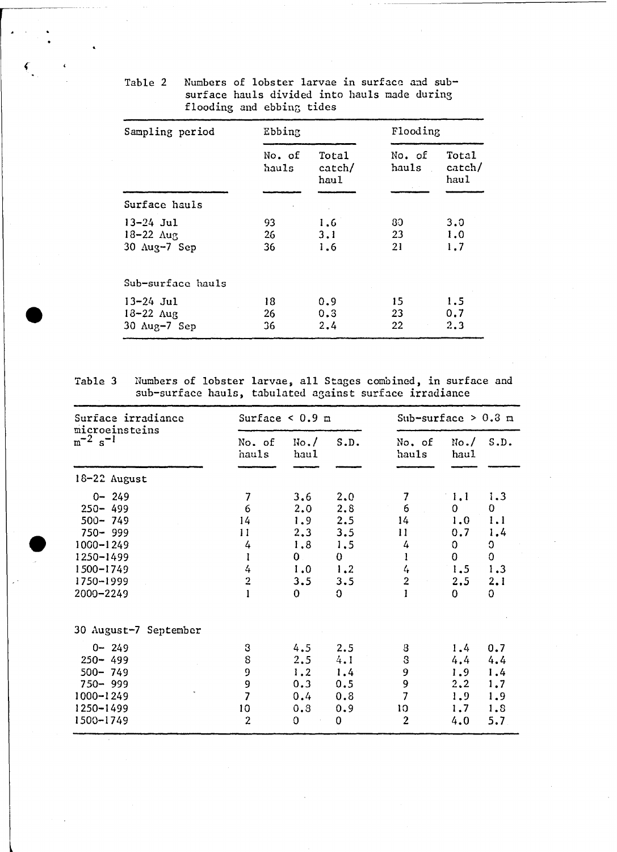| Sampling period                        | Ebbing          |                         | Flooding        |                         |  |
|----------------------------------------|-----------------|-------------------------|-----------------|-------------------------|--|
|                                        | No. of<br>hauls | Total<br>catch/<br>haul | No. of<br>hauls | Total<br>catch/<br>haul |  |
| Surface hauls                          |                 |                         |                 |                         |  |
| $13 - 24$ Jul<br>$18 - 22 \text{ Aug}$ | 93.<br>26       | 1.6<br>3.1              | 80.<br>23       | 3.0<br>1.0              |  |
| $30 \text{ Aug} - 7 \text{ Sep}$       | 36              | 1.6                     | 21              | 1,7                     |  |
| Sub-surface hauls                      |                 |                         |                 |                         |  |
| $13 - 24$ Jul                          | 18              | 0.9                     | 15              | 1.5                     |  |
| $18 - 22$ $\Delta$ ug<br>30 Aug-7 Sep  | 26<br>36        | 0.3<br>2.4              | 23<br>22        | 0.7<br>2.3              |  |

Table 2 Numbers of lobster larvae in surface and subsurface hauls divided into hauls made during flooding and ebbing tides

Iable 3 Numhers of lobster larvae, all Stages combined, in surface and sub-surface hauls, tabulated against surface irradiance

| Surface irradiance<br>microeinsteins                                                                                            | Surface $<0.9$ m                                                       |                                                                    |                                                                           | Sub-surface $> 0.3$ m                                              |                                                                                     |                                                                                 |
|---------------------------------------------------------------------------------------------------------------------------------|------------------------------------------------------------------------|--------------------------------------------------------------------|---------------------------------------------------------------------------|--------------------------------------------------------------------|-------------------------------------------------------------------------------------|---------------------------------------------------------------------------------|
| $m^{-2} s^{-1}$                                                                                                                 | No. of<br>hauls                                                        | No. /<br>haul                                                      | S.D.                                                                      | No. of<br>hauls                                                    | No. /<br>haul                                                                       | S.D.                                                                            |
| 18-22 August                                                                                                                    |                                                                        |                                                                    |                                                                           |                                                                    |                                                                                     |                                                                                 |
| $0 - 249$<br>$250 - 499$<br>$500 - 749$<br>$750 - 999$<br>$1000 - 1249$<br>1250-1499<br>$1500 - 1749$<br>1750-1999<br>2000-2249 | 7<br>6<br>14<br>11<br>4<br>1<br>4<br>$\overline{2}$                    | 3.6<br>2,0<br>1.9<br>2,3<br>1.8<br>$\mathbf{0}$<br>1.0<br>3.5<br>0 | 2.0<br>2.8<br>2.5<br>3.5<br>1,5<br>$\mathbf{0}$<br>1.2<br>3.5<br>$\Omega$ | 7<br>6<br>14<br>11<br>4<br>1<br>4<br>$\overline{2}$                | 1,1<br>0<br>1.0<br>0.7<br>$\mathbf 0$<br>$\mathbf{0}$<br>1.5<br>2.5<br>$\mathbf{0}$ | 1.3<br>$\mathbf{0}$<br>1.1<br>1,4<br>O<br>$\mathbf 0$<br>1.3<br>2.1<br>$\Omega$ |
| 30 August-7 September                                                                                                           |                                                                        |                                                                    |                                                                           |                                                                    |                                                                                     |                                                                                 |
| $0 - 249$<br>$250 - 499$<br>$500 - 749$<br>$750 - 999$<br>$1000 - 1249$<br>1250-1499<br>1500-1749                               | 3<br>$\bf8$<br>9<br>9<br>$\overline{\mathbf{z}}$<br>10<br>$\mathbf{2}$ | 4.5<br>2.5<br>1.2<br>0.3<br>0.4<br>0.8<br>0                        | 2.5<br>4.1<br>$1.4^{\circ}$<br>0.5<br>0.8<br>0.9<br>0                     | 8<br>${\bf S}$<br>9<br>9<br>$\overline{7}$<br>10<br>$\overline{2}$ | 1.4<br>4.4<br>1.9<br>2, 2<br>1.9<br>1.7<br>4.0                                      | 0.7<br>4,4<br>1.4<br>1,7<br>1.9<br>1.8<br>5.7                                   |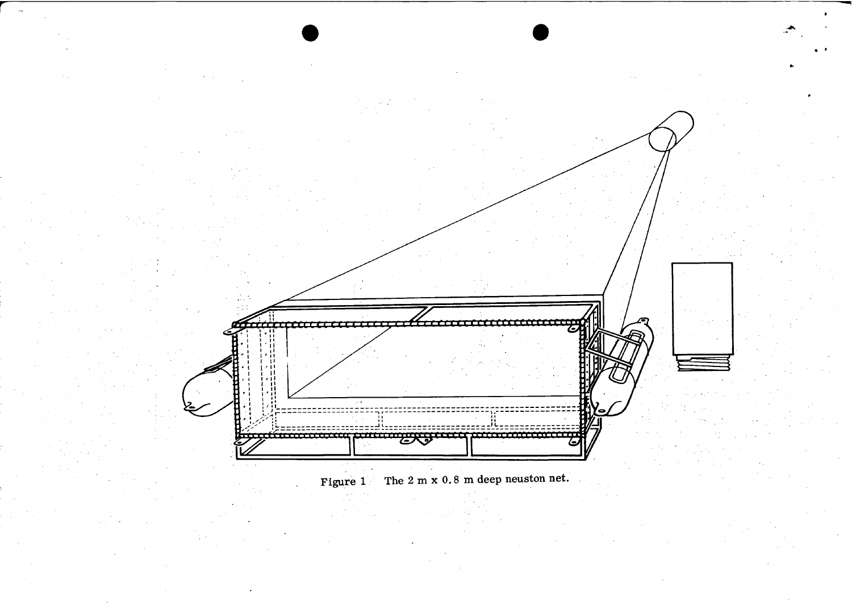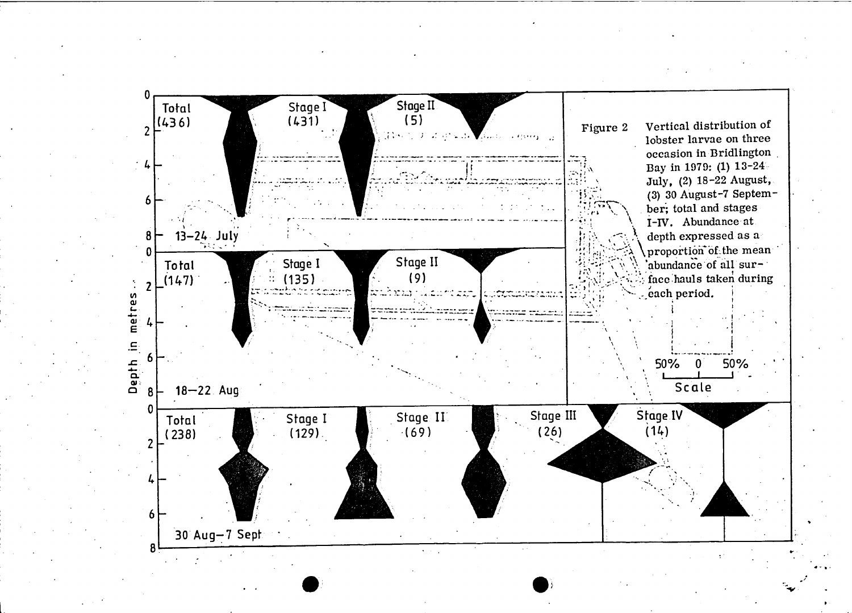